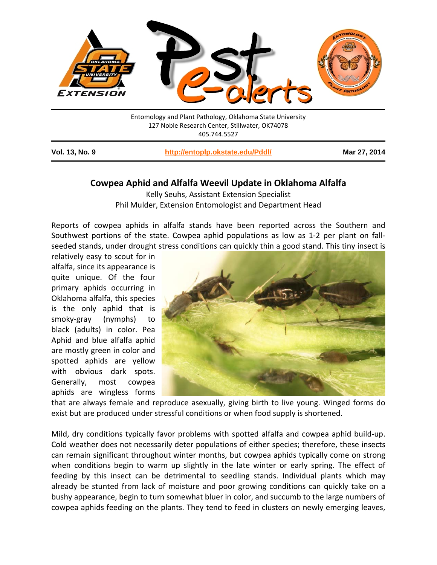

Entomology and Plant Pathology, Oklahoma State University 127 Noble Research Center, Stillwater, OK74078 405.744.5527

| <b>Vol. 13, No. 9</b> | http://entoplp.okstate.edu/Pddl/ | Mar 27, 2014 |
|-----------------------|----------------------------------|--------------|
|-----------------------|----------------------------------|--------------|

## **Cowpea Aphid and Alfalfa Weevil Update in Oklahoma Alfalfa**

Kelly Seuhs, Assistant Extension Specialist Phil Mulder, Extension Entomologist and Department Head

Reports of cowpea aphids in alfalfa stands have been reported across the Southern and Southwest portions of the state. Cowpea aphid populations as low as 1-2 per plant on fallseeded stands, under drought stress conditions can quickly thin a good stand. This tiny insect is

relatively easy to scout for in alfalfa, since its appearance is quite unique. Of the four primary aphids occurring in Oklahoma alfalfa, this species is the only aphid that is smoky-gray (nymphs) to black (adults) in color. Pea Aphid and blue alfalfa aphid are mostly green in color and spotted aphids are yellow with obvious dark spots. Generally, most cowpea aphids are wingless forms



that are always female and reproduce asexually, giving birth to live young. Winged forms do exist but are produced under stressful conditions or when food supply is shortened.

Mild, dry conditions typically favor problems with spotted alfalfa and cowpea aphid build-up. Cold weather does not necessarily deter populations of either species; therefore, these insects can remain significant throughout winter months, but cowpea aphids typically come on strong when conditions begin to warm up slightly in the late winter or early spring. The effect of feeding by this insect can be detrimental to seedling stands. Individual plants which may already be stunted from lack of moisture and poor growing conditions can quickly take on a bushy appearance, begin to turn somewhat bluer in color, and succumb to the large numbers of cowpea aphids feeding on the plants. They tend to feed in clusters on newly emerging leaves,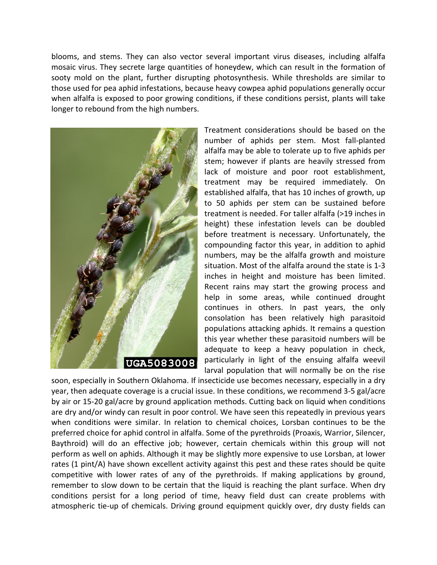blooms, and stems. They can also vector several important virus diseases, including alfalfa mosaic virus. They secrete large quantities of honeydew, which can result in the formation of sooty mold on the plant, further disrupting photosynthesis. While thresholds are similar to those used for pea aphid infestations, because heavy cowpea aphid populations generally occur when alfalfa is exposed to poor growing conditions, if these conditions persist, plants will take longer to rebound from the high numbers.



Treatment considerations should be based on the number of aphids per stem. Most fall-planted alfalfa may be able to tolerate up to five aphids per stem; however if plants are heavily stressed from lack of moisture and poor root establishment, treatment may be required immediately. On established alfalfa, that has 10 inches of growth, up to 50 aphids per stem can be sustained before treatment is needed. For taller alfalfa (>19 inches in height) these infestation levels can be doubled before treatment is necessary. Unfortunately, the compounding factor this year, in addition to aphid numbers, may be the alfalfa growth and moisture situation. Most of the alfalfa around the state is 1-3 inches in height and moisture has been limited. Recent rains may start the growing process and help in some areas, while continued drought continues in others. In past years, the only consolation has been relatively high parasitoid populations attacking aphids. It remains a question this year whether these parasitoid numbers will be adequate to keep a heavy population in check, particularly in light of the ensuing alfalfa weevil larval population that will normally be on the rise

soon, especially in Southern Oklahoma. If insecticide use becomes necessary, especially in a dry year, then adequate coverage is a crucial issue. In these conditions, we recommend 3-5 gal/acre by air or 15-20 gal/acre by ground application methods. Cutting back on liquid when conditions are dry and/or windy can result in poor control. We have seen this repeatedly in previous years when conditions were similar. In relation to chemical choices, Lorsban continues to be the preferred choice for aphid control in alfalfa. Some of the pyrethroids (Proaxis, Warrior, Silencer, Baythroid) will do an effective job; however, certain chemicals within this group will not perform as well on aphids. Although it may be slightly more expensive to use Lorsban, at lower rates (1 pint/A) have shown excellent activity against this pest and these rates should be quite competitive with lower rates of any of the pyrethroids. If making applications by ground, remember to slow down to be certain that the liquid is reaching the plant surface. When dry conditions persist for a long period of time, heavy field dust can create problems with atmospheric tie-up of chemicals. Driving ground equipment quickly over, dry dusty fields can